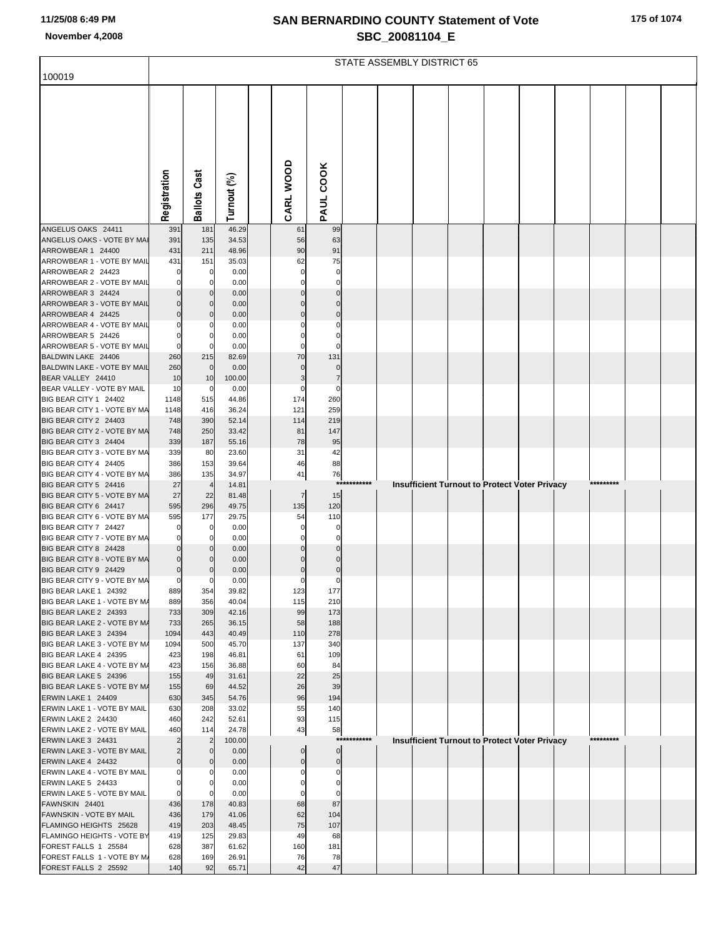|  |  |  |  | 175 of 1074 |
|--|--|--|--|-------------|
|--|--|--|--|-------------|

|                                                       | STATE ASSEMBLY DISTRICT 65       |                                |                |  |                |                               |        |  |  |  |  |                                                      |           |  |
|-------------------------------------------------------|----------------------------------|--------------------------------|----------------|--|----------------|-------------------------------|--------|--|--|--|--|------------------------------------------------------|-----------|--|
| 100019                                                |                                  |                                |                |  |                |                               |        |  |  |  |  |                                                      |           |  |
|                                                       |                                  |                                |                |  |                |                               |        |  |  |  |  |                                                      |           |  |
|                                                       |                                  |                                |                |  |                |                               |        |  |  |  |  |                                                      |           |  |
|                                                       |                                  |                                |                |  |                |                               |        |  |  |  |  |                                                      |           |  |
|                                                       |                                  |                                |                |  |                |                               |        |  |  |  |  |                                                      |           |  |
|                                                       |                                  |                                |                |  |                |                               |        |  |  |  |  |                                                      |           |  |
|                                                       |                                  |                                |                |  |                |                               |        |  |  |  |  |                                                      |           |  |
|                                                       |                                  |                                |                |  |                |                               |        |  |  |  |  |                                                      |           |  |
|                                                       |                                  |                                |                |  |                |                               |        |  |  |  |  |                                                      |           |  |
|                                                       | Registration                     | <b>Ballots Cast</b>            | Turnout (%)    |  | CARL WOOD      | PAUL COOK                     |        |  |  |  |  |                                                      |           |  |
| ANGELUS OAKS 24411                                    | 391                              | 181                            | 46.29          |  | 61             | 99                            |        |  |  |  |  |                                                      |           |  |
| ANGELUS OAKS - VOTE BY MAI                            | 391                              | 135                            | 34.53          |  | 56             | 63                            |        |  |  |  |  |                                                      |           |  |
| ARROWBEAR 1 24400                                     | 431                              | 211                            | 48.96          |  | 90             | 91                            |        |  |  |  |  |                                                      |           |  |
| ARROWBEAR 1 - VOTE BY MAIL<br>ARROWBEAR 2 24423       | 431                              | 151<br>0                       | 35.03<br>0.00  |  | 62<br>0        | 75<br>0                       |        |  |  |  |  |                                                      |           |  |
| ARROWBEAR 2 - VOTE BY MAIL                            | 0                                | 0                              | 0.00           |  | 0              | 0                             |        |  |  |  |  |                                                      |           |  |
| ARROWBEAR 3 24424                                     | $\Omega$                         | $\Omega$                       | 0.00           |  | U              | $\Omega$                      |        |  |  |  |  |                                                      |           |  |
| ARROWBEAR 3 - VOTE BY MAIL<br>ARROWBEAR 4 24425       | 0<br>$\Omega$                    | 0<br>C                         | 0.00<br>0.00   |  | 0              | 0<br>$\Omega$                 |        |  |  |  |  |                                                      |           |  |
| ARROWBEAR 4 - VOTE BY MAIL                            |                                  | C                              | 0.00           |  |                | 0                             |        |  |  |  |  |                                                      |           |  |
| ARROWBEAR 5 24426                                     | $\Omega$                         | C                              | 0.00           |  | n              | $\Omega$                      |        |  |  |  |  |                                                      |           |  |
| ARROWBEAR 5 - VOTE BY MAIL<br>BALDWIN LAKE 24406      | $\Omega$<br>260                  | n<br>215                       | 0.00<br>82.69  |  | O<br>70        | C<br>131                      |        |  |  |  |  |                                                      |           |  |
| BALDWIN LAKE - VOTE BY MAIL                           | 260                              | $\mathbf 0$                    | 0.00           |  | 0              | $\Omega$                      |        |  |  |  |  |                                                      |           |  |
| BEAR VALLEY 24410                                     | 10                               | 10                             | 100.00         |  | 3              | 7                             |        |  |  |  |  |                                                      |           |  |
| BEAR VALLEY - VOTE BY MAIL<br>BIG BEAR CITY 1 24402   | 10<br>1148                       | 0<br>515                       | 0.00<br>44.86  |  | 0<br>174       | $\mathbf 0$<br>260            |        |  |  |  |  |                                                      |           |  |
| BIG BEAR CITY 1 - VOTE BY MA                          | 1148                             | 416                            | 36.24          |  | 121            | 259                           |        |  |  |  |  |                                                      |           |  |
| BIG BEAR CITY 2 24403                                 | 748                              | 390                            | 52.14          |  | 114            | 219                           |        |  |  |  |  |                                                      |           |  |
| BIG BEAR CITY 2 - VOTE BY MA                          | 748                              | 250                            | 33.42          |  | 81             | 147                           |        |  |  |  |  |                                                      |           |  |
| BIG BEAR CITY 3 24404<br>BIG BEAR CITY 3 - VOTE BY MA | 339<br>339                       | 187<br>80                      | 55.16<br>23.60 |  | 78<br>31       | 95<br>42                      |        |  |  |  |  |                                                      |           |  |
| BIG BEAR CITY 4 24405                                 | 386                              | 153                            | 39.64          |  | 46             | 88                            |        |  |  |  |  |                                                      |           |  |
| BIG BEAR CITY 4 - VOTE BY MA                          | 386                              | 135                            | 34.97          |  | 41             | 76<br>***                     | ****** |  |  |  |  |                                                      |           |  |
| BIG BEAR CITY 5 24416<br>BIG BEAR CITY 5 - VOTE BY MA | 27<br>27                         | $\overline{\mathcal{L}}$<br>22 | 14.81<br>81.48 |  | $\overline{7}$ | 15                            |        |  |  |  |  | <b>Insufficient Turnout to Protect Voter Privacy</b> |           |  |
| BIG BEAR CITY 6 24417                                 | 595                              | 296                            | 49.75          |  | 135            | 120                           |        |  |  |  |  |                                                      |           |  |
| BIG BEAR CITY 6 - VOTE BY MA                          | 595                              | 177                            | 29.75          |  | 54             | 110                           |        |  |  |  |  |                                                      |           |  |
| BIG BEAR CITY 7 24427<br>BIG BEAR CITY 7 - VOTE BY MA | 0<br>0                           | 0<br>0                         | 0.00<br>0.00   |  | 0<br>0         | 0<br>$\Omega$                 |        |  |  |  |  |                                                      |           |  |
| BIG BEAR CITY 8 24428                                 | $\mathbf 0$                      | <sup>r</sup>                   | 0.00           |  | $\Omega$       | $\Omega$                      |        |  |  |  |  |                                                      |           |  |
| BIG BEAR CITY 8 - VOTE BY MA                          | $\mathbf 0$                      | 0                              | 0.00           |  | 0              | $\Omega$                      |        |  |  |  |  |                                                      |           |  |
| BIG BEAR CITY 9 24429<br>BIG BEAR CITY 9 - VOTE BY MA | $\mathbf 0$<br>0                 | C<br>0                         | 0.00<br>0.00   |  | 0<br>0         | $\mathbf 0$<br>$\overline{0}$ |        |  |  |  |  |                                                      |           |  |
| BIG BEAR LAKE 1 24392                                 | 889                              | 354                            | 39.82          |  | 123            | 177                           |        |  |  |  |  |                                                      |           |  |
| BIG BEAR LAKE 1 - VOTE BY M/                          | 889                              | 356                            | 40.04          |  | 115            | 210                           |        |  |  |  |  |                                                      |           |  |
| BIG BEAR LAKE 2 24393<br>BIG BEAR LAKE 2 - VOTE BY M/ | 733<br>733                       | 309<br>265                     | 42.16<br>36.15 |  | 99<br>58       | 173<br>188                    |        |  |  |  |  |                                                      |           |  |
| BIG BEAR LAKE 3 24394                                 | 1094                             | 443                            | 40.49          |  | 110            | 278                           |        |  |  |  |  |                                                      |           |  |
| BIG BEAR LAKE 3 - VOTE BY M/                          | 1094                             | 500                            | 45.70          |  | 137            | 340                           |        |  |  |  |  |                                                      |           |  |
| BIG BEAR LAKE 4 24395<br>BIG BEAR LAKE 4 - VOTE BY M/ | 423<br>423                       | 198<br>156                     | 46.81<br>36.88 |  | 61<br>60       | 109<br>84                     |        |  |  |  |  |                                                      |           |  |
| BIG BEAR LAKE 5 24396                                 | 155                              | 49                             | 31.61          |  | 22             | 25                            |        |  |  |  |  |                                                      |           |  |
| BIG BEAR LAKE 5 - VOTE BY M/                          | 155                              | 69                             | 44.52          |  | 26             | 39                            |        |  |  |  |  |                                                      |           |  |
| ERWIN LAKE 1 24409<br>ERWIN LAKE 1 - VOTE BY MAIL     | 630<br>630                       | 345<br>208                     | 54.76<br>33.02 |  | 96<br>55       | 194<br>140                    |        |  |  |  |  |                                                      |           |  |
| ERWIN LAKE 2 24430                                    | 460                              | 242                            | 52.61          |  | 93             | 115                           |        |  |  |  |  |                                                      |           |  |
| ERWIN LAKE 2 - VOTE BY MAIL                           | 460                              | 114                            | 24.78          |  | 43             | 58                            | ****** |  |  |  |  |                                                      | ********* |  |
| ERWIN LAKE 3 24431<br>ERWIN LAKE 3 - VOTE BY MAIL     | $\overline{c}$<br>$\overline{c}$ | $\overline{2}$<br>$\Omega$     | 100.00<br>0.00 |  | $\mathbf{0}$   | ***<br>$\overline{0}$         |        |  |  |  |  | <b>Insufficient Turnout to Protect Voter Privacy</b> |           |  |
| ERWIN LAKE 4 24432                                    | $\pmb{0}$                        | $\Omega$                       | 0.00           |  | 0              | $\overline{0}$                |        |  |  |  |  |                                                      |           |  |
| ERWIN LAKE 4 - VOTE BY MAIL                           | 0                                | 0                              | 0.00           |  | 0              | 0                             |        |  |  |  |  |                                                      |           |  |
| ERWIN LAKE 5 24433<br>ERWIN LAKE 5 - VOTE BY MAIL     | $\Omega$<br>$\mathbf 0$          | C<br>$\Omega$                  | 0.00<br>0.00   |  | O<br>O         | $\mathbf 0$<br>$\mathbf 0$    |        |  |  |  |  |                                                      |           |  |
| FAWNSKIN 24401                                        | 436                              | 178                            | 40.83          |  | 68             | 87                            |        |  |  |  |  |                                                      |           |  |
| FAWNSKIN - VOTE BY MAIL                               | 436                              | 179                            | 41.06          |  | 62             | 104                           |        |  |  |  |  |                                                      |           |  |
| FLAMINGO HEIGHTS 25628<br>FLAMINGO HEIGHTS - VOTE BY  | 419<br>419                       | 203<br>125                     | 48.45<br>29.83 |  | 75<br>49       | 107<br>68                     |        |  |  |  |  |                                                      |           |  |
| FOREST FALLS 1 25584                                  | 628                              | 387                            | 61.62          |  | 160            | 181                           |        |  |  |  |  |                                                      |           |  |
| FOREST FALLS 1 - VOTE BY M/                           | 628                              | 169                            | 26.91          |  | 76             | 78                            |        |  |  |  |  |                                                      |           |  |
| FOREST FALLS 2 25592                                  | 140                              | 92                             | 65.71          |  | 42             | 47                            |        |  |  |  |  |                                                      |           |  |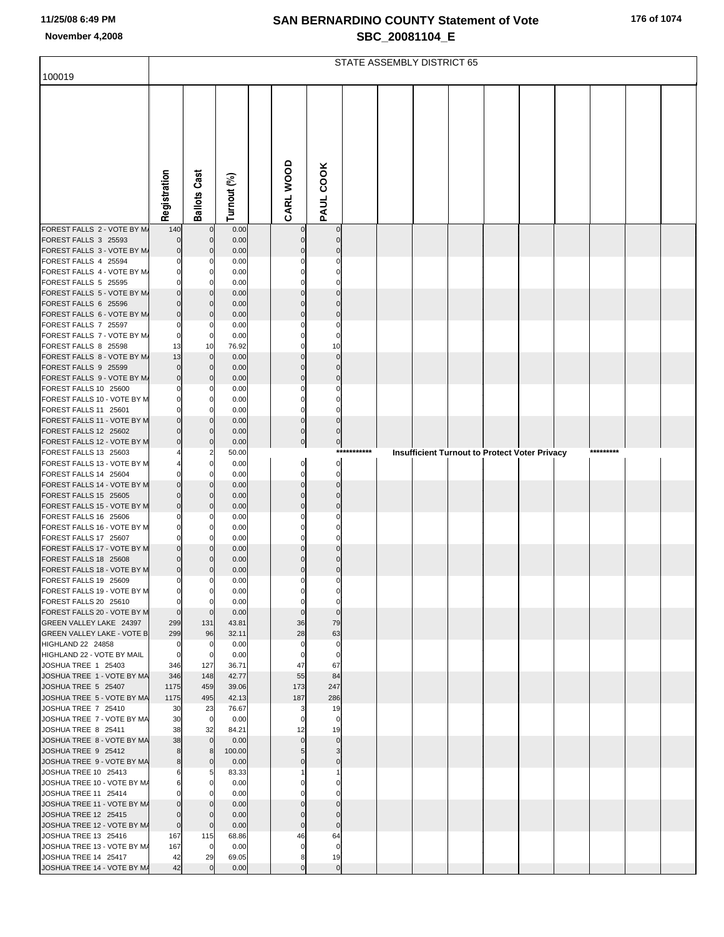|                                                      | STATE ASSEMBLY DISTRICT 65 |                               |                |  |                         |                      |             |  |  |  |  |                                                      |           |  |
|------------------------------------------------------|----------------------------|-------------------------------|----------------|--|-------------------------|----------------------|-------------|--|--|--|--|------------------------------------------------------|-----------|--|
| 100019                                               |                            |                               |                |  |                         |                      |             |  |  |  |  |                                                      |           |  |
|                                                      | Registration               | <b>Ballots Cast</b>           | Turnout (%)    |  | CARL WOOD               | PAUL COOK            |             |  |  |  |  |                                                      |           |  |
| FOREST FALLS 2 - VOTE BY M/                          | 140                        | $\mathbf 0$                   | 0.00           |  | $\mathbf 0$             | $\mathbf 0$          |             |  |  |  |  |                                                      |           |  |
| FOREST FALLS 3 25593                                 | $\Omega$                   | $\mathbf 0$                   | 0.00           |  | $\Omega$                | $\Omega$             |             |  |  |  |  |                                                      |           |  |
| FOREST FALLS 3 - VOTE BY M/                          | 0                          | $\mathbf 0$<br>$\Omega$       | 0.00           |  | $\Omega$                |                      |             |  |  |  |  |                                                      |           |  |
| FOREST FALLS 4 25594<br>FOREST FALLS 4 - VOTE BY M/  |                            | 0                             | 0.00<br>0.00   |  |                         |                      |             |  |  |  |  |                                                      |           |  |
| FOREST FALLS 5 25595                                 |                            | C                             | 0.00           |  |                         |                      |             |  |  |  |  |                                                      |           |  |
| FOREST FALLS 5 - VOTE BY M/                          |                            | $\mathbf 0$                   | 0.00           |  | $\Omega$                |                      |             |  |  |  |  |                                                      |           |  |
| FOREST FALLS 6 25596<br>FOREST FALLS 6 - VOTE BY M/  | $\Omega$                   | $\mathbf 0$<br>$\mathbf 0$    | 0.00<br>0.00   |  | $\Omega$                | $\Omega$             |             |  |  |  |  |                                                      |           |  |
| FOREST FALLS 7 25597                                 | 0                          | 0                             | 0.00           |  |                         |                      |             |  |  |  |  |                                                      |           |  |
| FOREST FALLS 7 - VOTE BY M/                          | 0                          | $\mathbf 0$                   | 0.00           |  | $\Omega$                | $\Omega$             |             |  |  |  |  |                                                      |           |  |
| FOREST FALLS 8 25598                                 | 13                         | 10                            | 76.92          |  |                         | 10                   |             |  |  |  |  |                                                      |           |  |
| FOREST FALLS 8 - VOTE BY M/<br>FOREST FALLS 9 25599  | 13<br>0                    | $\overline{0}$<br>$\mathbf 0$ | 0.00<br>0.00   |  | $\Omega$<br>$\Omega$    | $\Omega$<br>$\Omega$ |             |  |  |  |  |                                                      |           |  |
| FOREST FALLS 9 - VOTE BY M/                          | $\mathbf 0$                | $\mathbf 0$                   | 0.00           |  | $\Omega$                | $\Omega$             |             |  |  |  |  |                                                      |           |  |
| FOREST FALLS 10 25600                                |                            | $\Omega$                      | 0.00           |  |                         |                      |             |  |  |  |  |                                                      |           |  |
| FOREST FALLS 10 - VOTE BY M<br>FOREST FALLS 11 25601 |                            | 0<br>C                        | 0.00<br>0.00   |  | $\Omega$<br>$\Omega$    | C                    |             |  |  |  |  |                                                      |           |  |
| FOREST FALLS 11 - VOTE BY M                          | $\Omega$                   | $\mathbf 0$                   | 0.00           |  | $\mathbf 0$             | $\Omega$             |             |  |  |  |  |                                                      |           |  |
| FOREST FALLS 12 25602                                | $\Omega$                   | $\mathbf 0$                   | 0.00           |  | $\mathbf 0$             | $\Omega$             |             |  |  |  |  |                                                      |           |  |
| FOREST FALLS 12 - VOTE BY M                          | $\Omega$                   | $\mathbf 0$                   | 0.00           |  | $\pmb{0}$               | $\pmb{0}$            | *********** |  |  |  |  |                                                      | ********* |  |
| FOREST FALLS 13 25603<br>FOREST FALLS 13 - VOTE BY M |                            | 2<br>$\mathbf 0$              | 50.00<br>0.00  |  | $\mathbf 0$             | $\mathbf 0$          |             |  |  |  |  | <b>Insufficient Turnout to Protect Voter Privacy</b> |           |  |
| FOREST FALLS 14 25604                                |                            | C                             | 0.00           |  |                         | 0                    |             |  |  |  |  |                                                      |           |  |
| FOREST FALLS 14 - VOTE BY M                          | $\Omega$                   | $\mathbf 0$                   | 0.00           |  | $\mathbf 0$             | $\Omega$             |             |  |  |  |  |                                                      |           |  |
| FOREST FALLS 15 25605                                | $\Omega$                   | $\mathbf 0$                   | 0.00           |  | $\Omega$                | $\sqrt{ }$           |             |  |  |  |  |                                                      |           |  |
| FOREST FALLS 15 - VOTE BY M<br>FOREST FALLS 16 25606 | $\Omega$                   | $\mathbf 0$<br>$\Omega$       | 0.00<br>0.00   |  | $\Omega$                | $\Omega$             |             |  |  |  |  |                                                      |           |  |
| FOREST FALLS 16 - VOTE BY M                          | 0                          | 0                             | 0.00           |  | 0                       |                      |             |  |  |  |  |                                                      |           |  |
| FOREST FALLS 17 25607                                |                            | C                             | 0.00           |  |                         |                      |             |  |  |  |  |                                                      |           |  |
| FOREST FALLS 17 - VOTE BY M                          | $\Omega$<br>$\Omega$       | $\mathbf 0$<br>$\Omega$       | 0.00           |  | $\Omega$                |                      |             |  |  |  |  |                                                      |           |  |
| FOREST FALLS 18 25608<br>FOREST FALLS 18 - VOTE BY M | 0                          | $\Omega$                      | 0.00<br>0.00   |  | $\Omega$                | $\mathsf{C}$         |             |  |  |  |  |                                                      |           |  |
| FOREST FALLS 19 25609                                | 0                          | 0                             | 0.00           |  |                         |                      |             |  |  |  |  |                                                      |           |  |
| <b>FOREST FALLS 19 - VOTE BY M</b>                   | 0                          | $\overline{0}$                | 0.00           |  |                         |                      |             |  |  |  |  |                                                      |           |  |
| FOREST FALLS 20 25610<br>FOREST FALLS 20 - VOTE BY M | 0<br>$\mathbf 0$           | $\mathbf 0$<br>$\mathbf 0$    | 0.00<br>0.00   |  | $\Omega$<br>$\mathbf 0$ | 0<br>$\Omega$        |             |  |  |  |  |                                                      |           |  |
| GREEN VALLEY LAKE 24397                              | 299                        | 131                           | 43.81          |  | 36                      | 79                   |             |  |  |  |  |                                                      |           |  |
| <b>GREEN VALLEY LAKE - VOTE B</b>                    | 299                        | 96                            | 32.11          |  | 28                      | 63                   |             |  |  |  |  |                                                      |           |  |
| HIGHLAND 22 24858                                    | 0                          | 0                             | 0.00           |  | $\Omega$                | $\mathbf 0$          |             |  |  |  |  |                                                      |           |  |
| HIGHLAND 22 - VOTE BY MAIL<br>JOSHUA TREE 1 25403    | 0<br>346                   | $\mathbf 0$<br>127            | 0.00<br>36.71  |  | $\Omega$<br>47          | 0<br>67              |             |  |  |  |  |                                                      |           |  |
| JOSHUA TREE 1 - VOTE BY MA                           | 346                        | 148                           | 42.77          |  | 55                      | 84                   |             |  |  |  |  |                                                      |           |  |
| JOSHUA TREE 5 25407                                  | 1175                       | 459                           | 39.06          |  | 173                     | 247                  |             |  |  |  |  |                                                      |           |  |
| JOSHUA TREE 5 - VOTE BY MA<br>JOSHUA TREE 7 25410    | 1175                       | 495                           | 42.13<br>76.67 |  | 187<br>3                | 286                  |             |  |  |  |  |                                                      |           |  |
| JOSHUA TREE 7 - VOTE BY MA                           | 30<br>30                   | 23<br>$\overline{0}$          | 0.00           |  | $\Omega$                | 19<br>0              |             |  |  |  |  |                                                      |           |  |
| JOSHUA TREE 8 25411                                  | 38                         | 32                            | 84.21          |  | 12                      | 19                   |             |  |  |  |  |                                                      |           |  |
| JOSHUA TREE 8 - VOTE BY MA                           | 38                         | $\overline{0}$                | 0.00           |  | $\mathbf 0$             | $\mathbf{0}$         |             |  |  |  |  |                                                      |           |  |
| JOSHUA TREE 9 25412<br>JOSHUA TREE 9 - VOTE BY MA    | 8<br>8                     | 8<br>$\mathbf 0$              | 100.00<br>0.00 |  | 5<br>$\Omega$           | 3<br>$\Omega$        |             |  |  |  |  |                                                      |           |  |
| JOSHUA TREE 10 25413                                 | 6                          | 5                             | 83.33          |  |                         |                      |             |  |  |  |  |                                                      |           |  |
| JOSHUA TREE 10 - VOTE BY M/                          | 6                          | 0                             | 0.00           |  |                         |                      |             |  |  |  |  |                                                      |           |  |
| JOSHUA TREE 11 25414                                 |                            |                               | 0.00           |  |                         |                      |             |  |  |  |  |                                                      |           |  |
| JOSHUA TREE 11 - VOTE BY M/<br>JOSHUA TREE 12 25415  | 0                          | $\mathbf 0$<br>$\mathbf 0$    | 0.00<br>0.00   |  | $\Omega$<br>$\Omega$    | $\Omega$             |             |  |  |  |  |                                                      |           |  |
| JOSHUA TREE 12 - VOTE BY M/                          | 0                          | $\mathbf{0}$                  | 0.00           |  | $\mathbf 0$             | $\mathbf 0$          |             |  |  |  |  |                                                      |           |  |
| JOSHUA TREE 13 25416                                 | 167                        | 115                           | 68.86          |  | 46                      | 64                   |             |  |  |  |  |                                                      |           |  |
| JOSHUA TREE 13 - VOTE BY M/                          | 167                        | $\mathbf 0$                   | 0.00           |  | $\mathbf 0$             | $\mathbf 0$          |             |  |  |  |  |                                                      |           |  |
| JOSHUA TREE 14 25417<br>JOSHUA TREE 14 - VOTE BY M/  | 42<br>42                   | 29<br>$\mathbf 0$             | 69.05<br>0.00  |  | 8<br>$\Omega$           | 19<br>$\mathbf 0$    |             |  |  |  |  |                                                      |           |  |
|                                                      |                            |                               |                |  |                         |                      |             |  |  |  |  |                                                      |           |  |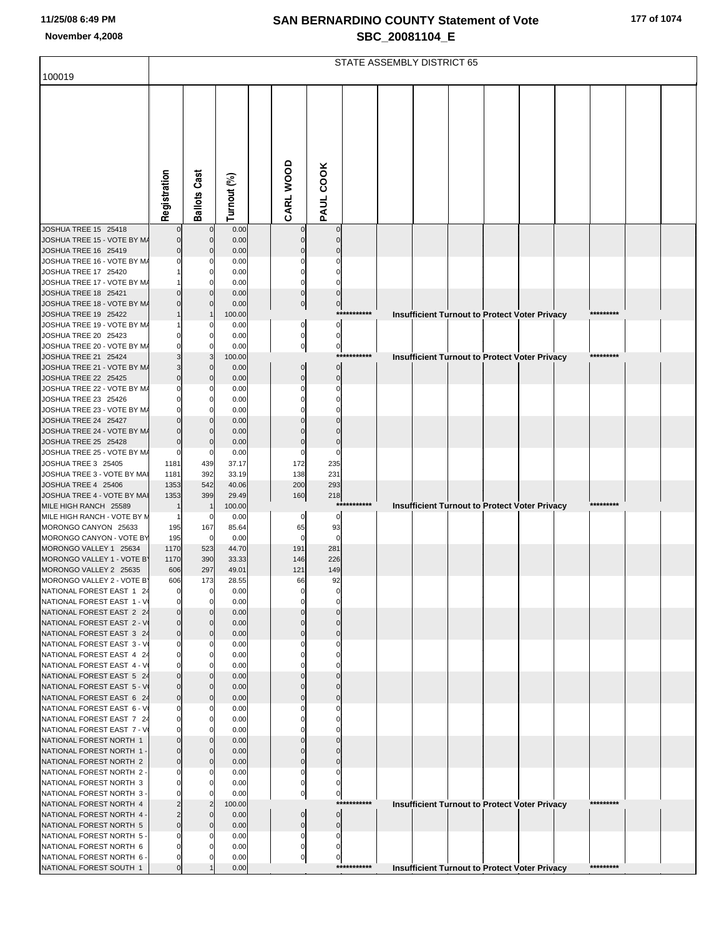| 177 of 1074 |  |
|-------------|--|
|-------------|--|

|                                                         |              |                     |                |                            |                           |             | STATE ASSEMBLY DISTRICT 65 |  |                                                      |           |  |
|---------------------------------------------------------|--------------|---------------------|----------------|----------------------------|---------------------------|-------------|----------------------------|--|------------------------------------------------------|-----------|--|
| 100019                                                  |              |                     |                |                            |                           |             |                            |  |                                                      |           |  |
|                                                         |              |                     |                |                            |                           |             |                            |  |                                                      |           |  |
|                                                         |              |                     |                |                            |                           |             |                            |  |                                                      |           |  |
|                                                         |              |                     |                |                            |                           |             |                            |  |                                                      |           |  |
|                                                         |              |                     |                |                            |                           |             |                            |  |                                                      |           |  |
|                                                         |              |                     |                |                            |                           |             |                            |  |                                                      |           |  |
|                                                         |              |                     |                |                            |                           |             |                            |  |                                                      |           |  |
|                                                         |              |                     |                |                            |                           |             |                            |  |                                                      |           |  |
|                                                         |              |                     |                |                            |                           |             |                            |  |                                                      |           |  |
|                                                         |              |                     |                |                            |                           |             |                            |  |                                                      |           |  |
|                                                         | Registration | <b>Ballots Cast</b> | Turnout (%)    | CARL WOOD                  | PAUL COOK                 |             |                            |  |                                                      |           |  |
| JOSHUA TREE 15 25418                                    |              |                     | 0.00           |                            |                           |             |                            |  |                                                      |           |  |
| JOSHUA TREE 15 - VOTE BY M/                             |              | $\Omega$            | 0.00           |                            |                           |             |                            |  |                                                      |           |  |
| JOSHUA TREE 16 25419                                    |              |                     | 0.00           |                            |                           |             |                            |  |                                                      |           |  |
| JOSHUA TREE 16 - VOTE BY M/<br>JOSHUA TREE 17 25420     |              |                     | 0.00<br>0.00   |                            |                           |             |                            |  |                                                      |           |  |
| JOSHUA TREE 17 - VOTE BY M/                             |              |                     | 0.00           |                            |                           |             |                            |  |                                                      |           |  |
| JOSHUA TREE 18 25421                                    |              |                     | 0.00           |                            |                           |             |                            |  |                                                      |           |  |
| JOSHUA TREE 18 - VOTE BY M/                             |              |                     | 0.00           | $\overline{0}$             | $\overline{0}$            |             |                            |  |                                                      |           |  |
| JOSHUA TREE 19 25422<br>JOSHUA TREE 19 - VOTE BY M/     |              |                     | 100.00<br>0.00 | 0                          | $\mathbf 0$               |             |                            |  | <b>Insufficient Turnout to Protect Voter Privacy</b> |           |  |
| JOSHUA TREE 20 25423                                    |              |                     | 0.00           | 0                          | $\mathbf 0$               |             |                            |  |                                                      |           |  |
| JOSHUA TREE 20 - VOTE BY M/                             |              |                     | 0.00           | $\mathbf{0}$               | $\overline{0}$            |             |                            |  |                                                      |           |  |
| JOSHUA TREE 21 25424                                    |              |                     | 100.00         |                            | ***:                      | *******     |                            |  | <b>Insufficient Turnout to Protect Voter Privacy</b> | ********* |  |
| JOSHUA TREE 21 - VOTE BY M/<br>JOSHUA TREE 22 25425     |              |                     | 0.00<br>0.00   | $\mathbf{0}$<br>$\Omega$   | $\Omega$<br>$\Omega$      |             |                            |  |                                                      |           |  |
| JOSHUA TREE 22 - VOTE BY M/                             |              |                     | 0.00           |                            |                           |             |                            |  |                                                      |           |  |
| JOSHUA TREE 23 25426                                    |              |                     | 0.00           |                            |                           |             |                            |  |                                                      |           |  |
| JOSHUA TREE 23 - VOTE BY M/                             |              |                     | 0.00           |                            |                           |             |                            |  |                                                      |           |  |
| JOSHUA TREE 24 25427<br>JOSHUA TREE 24 - VOTE BY M/     |              |                     | 0.00<br>0.00   |                            |                           |             |                            |  |                                                      |           |  |
| JOSHUA TREE 25 25428                                    |              | n                   | 0.00           |                            |                           |             |                            |  |                                                      |           |  |
| JOSHUA TREE 25 - VOTE BY M/                             | C            | 0                   | 0.00           | 0                          | $\Omega$                  |             |                            |  |                                                      |           |  |
| JOSHUA TREE 3 25405                                     | 1181<br>1181 | 439<br>392          | 37.17          | 172<br>138                 | 235<br>231                |             |                            |  |                                                      |           |  |
| JOSHUA TREE 3 - VOTE BY MAI<br>JOSHUA TREE 4 25406      | 1353         | 542                 | 33.19<br>40.06 | 200                        | 293                       |             |                            |  |                                                      |           |  |
| JOSHUA TREE 4 - VOTE BY MAI                             | 1353         | 399                 | 29.49          | 160                        | 218                       |             |                            |  |                                                      |           |  |
| MILE HIGH RANCH 25589                                   |              |                     | 100.00         |                            | ***                       | *******     |                            |  | <b>Insufficient Turnout to Protect Voter Privacy</b> | ********* |  |
| MILE HIGH RANCH - VOTE BY M<br>MORONGO CANYON 25633     | 195          | 0<br>167            | 0.00<br>85.64  | 0<br>65                    | 0<br>93                   |             |                            |  |                                                      |           |  |
| MORONGO CANYON - VOTE BY                                | 195          | $\mathbf 0$         | 0.00           | $\Omega$                   | $\mathbf 0$               |             |                            |  |                                                      |           |  |
| MORONGO VALLEY 1 25634                                  | 1170         | 523                 | 44.70          | 191                        | 281                       |             |                            |  |                                                      |           |  |
| MORONGO VALLEY 1 - VOTE B'                              | 1170         | 390<br>297          | 33.33<br>49.01 | 146<br>121                 | 226                       |             |                            |  |                                                      |           |  |
| MORONGO VALLEY 2 25635<br>MORONGO VALLEY 2 - VOTE B'    | 606<br>606   | 173                 | 28.55          | 66                         | 149<br>92                 |             |                            |  |                                                      |           |  |
| NATIONAL FOREST EAST 1 24                               |              |                     | 0.00           |                            |                           |             |                            |  |                                                      |           |  |
| NATIONAL FOREST EAST 1 - V                              |              |                     | 0.00           |                            |                           |             |                            |  |                                                      |           |  |
| NATIONAL FOREST EAST 2 24<br>NATIONAL FOREST EAST 2 - V |              | $\Omega$            | 0.00<br>0.00   |                            |                           |             |                            |  |                                                      |           |  |
| NATIONAL FOREST EAST 3 24                               |              | $\Omega$            | 0.00           |                            |                           |             |                            |  |                                                      |           |  |
| NATIONAL FOREST EAST 3 - V                              |              |                     | 0.00           |                            |                           |             |                            |  |                                                      |           |  |
| NATIONAL FOREST EAST 4 24                               |              |                     | 0.00           |                            |                           |             |                            |  |                                                      |           |  |
| NATIONAL FOREST EAST 4 - V<br>NATIONAL FOREST EAST 5 24 |              |                     | 0.00<br>0.00   |                            |                           |             |                            |  |                                                      |           |  |
| NATIONAL FOREST EAST 5 - V                              |              |                     | 0.00           |                            |                           |             |                            |  |                                                      |           |  |
| NATIONAL FOREST EAST 6 24                               |              | n                   | 0.00           |                            |                           |             |                            |  |                                                      |           |  |
| NATIONAL FOREST EAST 6 - V<br>NATIONAL FOREST EAST 7 24 |              |                     | 0.00           |                            |                           |             |                            |  |                                                      |           |  |
| NATIONAL FOREST EAST 7 - V                              |              |                     | 0.00<br>0.00   |                            |                           |             |                            |  |                                                      |           |  |
| NATIONAL FOREST NORTH 1                                 |              |                     | 0.00           |                            |                           |             |                            |  |                                                      |           |  |
| NATIONAL FOREST NORTH 1 -                               |              |                     | 0.00           |                            |                           |             |                            |  |                                                      |           |  |
| NATIONAL FOREST NORTH 2<br>NATIONAL FOREST NORTH 2 -    |              |                     | 0.00<br>0.00   |                            |                           |             |                            |  |                                                      |           |  |
| NATIONAL FOREST NORTH 3                                 |              |                     | 0.00           |                            |                           |             |                            |  |                                                      |           |  |
| NATIONAL FOREST NORTH 3 -                               |              |                     | 0.00           | $\mathbf 0$                | $\mathbf 0$               |             |                            |  |                                                      |           |  |
| NATIONAL FOREST NORTH 4                                 |              |                     | 100.00         |                            | ***                       |             |                            |  | <b>Insufficient Turnout to Protect Voter Privacy</b> | ********* |  |
| NATIONAL FOREST NORTH 4 -<br>NATIONAL FOREST NORTH 5    |              |                     | 0.00<br>0.00   | $\mathbf 0$<br>$\mathbf 0$ | $\circ$<br>$\overline{0}$ |             |                            |  |                                                      |           |  |
| NATIONAL FOREST NORTH 5 -                               |              |                     | 0.00           |                            |                           |             |                            |  |                                                      |           |  |
| NATIONAL FOREST NORTH 6                                 |              |                     | 0.00           |                            |                           |             |                            |  |                                                      |           |  |
| NATIONAL FOREST NORTH 6 -                               |              |                     | 0.00           | $\overline{0}$             | $\mathbf 0$               | *********** |                            |  |                                                      | ********* |  |
| NATIONAL FOREST SOUTH 1                                 |              |                     | 0.00           |                            |                           |             |                            |  | Insufficient Turnout to Protect Voter Privacy        |           |  |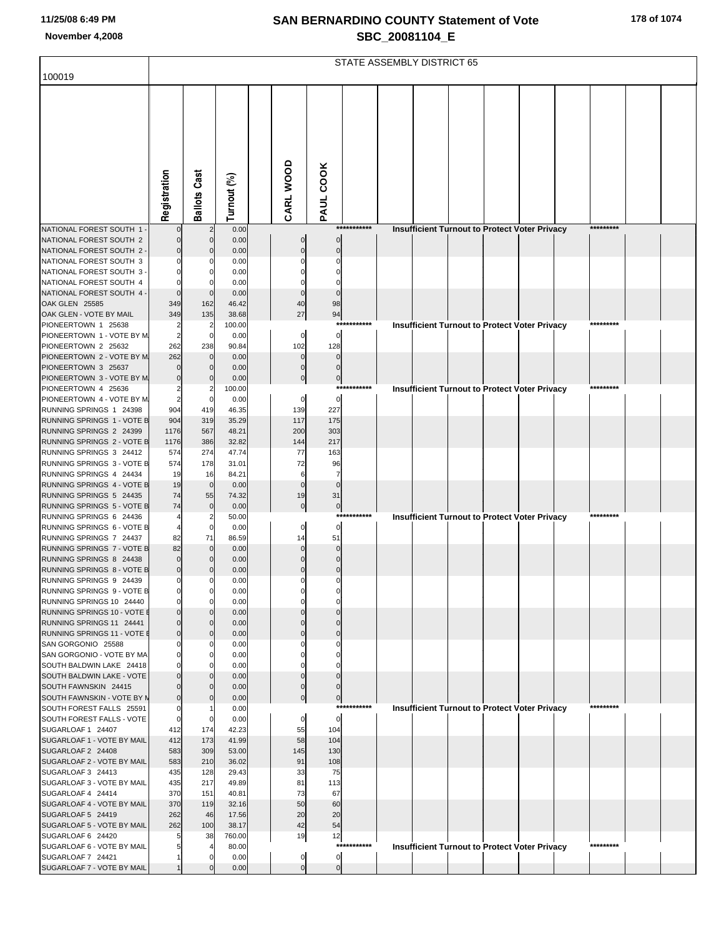|  |  |  |  | 178 of 1074 |
|--|--|--|--|-------------|
|--|--|--|--|-------------|

|                                                         |                         |                     |                 |                               |                      |             | STATE ASSEMBLY DISTRICT 65 |  |                                                      |           |  |
|---------------------------------------------------------|-------------------------|---------------------|-----------------|-------------------------------|----------------------|-------------|----------------------------|--|------------------------------------------------------|-----------|--|
| 100019                                                  |                         |                     |                 |                               |                      |             |                            |  |                                                      |           |  |
|                                                         |                         |                     |                 |                               |                      |             |                            |  |                                                      |           |  |
|                                                         |                         |                     |                 |                               |                      |             |                            |  |                                                      |           |  |
|                                                         |                         |                     |                 |                               |                      |             |                            |  |                                                      |           |  |
|                                                         |                         |                     |                 |                               |                      |             |                            |  |                                                      |           |  |
|                                                         |                         |                     |                 |                               |                      |             |                            |  |                                                      |           |  |
|                                                         |                         |                     |                 |                               |                      |             |                            |  |                                                      |           |  |
|                                                         |                         |                     |                 |                               |                      |             |                            |  |                                                      |           |  |
|                                                         | Registration            | <b>Ballots Cast</b> | Turnout (%)     | CARL WOOD                     | PAUL COOK            |             |                            |  |                                                      |           |  |
| NATIONAL FOREST SOUTH 1 -                               |                         |                     | 0.00            |                               |                      | *********** |                            |  | Insufficient Turnout to Protect Voter Privacy        | ********* |  |
| NATIONAL FOREST SOUTH 2                                 |                         |                     | 0.00            | $\mathbf 0$                   |                      |             |                            |  |                                                      |           |  |
| NATIONAL FOREST SOUTH 2 -                               |                         |                     | 0.00            |                               |                      |             |                            |  |                                                      |           |  |
| NATIONAL FOREST SOUTH 3<br>NATIONAL FOREST SOUTH 3 -    |                         |                     | 0.00<br>0.00    |                               |                      |             |                            |  |                                                      |           |  |
| NATIONAL FOREST SOUTH 4                                 |                         |                     | 0.00            |                               |                      |             |                            |  |                                                      |           |  |
| NATIONAL FOREST SOUTH 4 -<br>OAK GLEN 25585             | 349                     | 162                 | 0.00<br>46.42   | 40                            | 98                   |             |                            |  |                                                      |           |  |
| OAK GLEN - VOTE BY MAIL                                 | 349                     | 135                 | 38.68           | 27                            | 94                   |             |                            |  |                                                      |           |  |
| PIONEERTOWN 1 25638                                     | 2                       |                     | 100.00          |                               |                      | *********** |                            |  | Insufficient Turnout to Protect Voter Privacy        | ********* |  |
| PIONEERTOWN 1 - VOTE BY M<br>PIONEERTOWN 2 25632        | 2<br>262                | $\Omega$<br>238     | 0.00<br>90.84   | $\mathbf 0$<br>102            | $\mathbf 0$<br>128   |             |                            |  |                                                      |           |  |
| PIONEERTOWN 2 - VOTE BY M                               | 262                     | $\Omega$            | 0.00            | $\Omega$                      |                      |             |                            |  |                                                      |           |  |
| PIONEERTOWN 3 25637                                     |                         |                     | 0.00            |                               |                      |             |                            |  |                                                      |           |  |
| PIONEERTOWN 3 - VOTE BY M<br>PIONEERTOWN 4 25636        | $\sqrt{ }$              |                     | 0.00<br>100.00  | $\Omega$                      | $\pmb{0}$            | *********** |                            |  | <b>Insufficient Turnout to Protect Voter Privacy</b> | ********* |  |
| PIONEERTOWN 4 - VOTE BY M                               | 2                       |                     | 0.00            | $\mathbf 0$                   | $\pmb{0}$            |             |                            |  |                                                      |           |  |
| RUNNING SPRINGS 1 24398<br>RUNNING SPRINGS 1 - VOTE B   | 904<br>904              | 419<br>319          | 46.35<br>35.29  | 139<br>117                    | 227<br>175           |             |                            |  |                                                      |           |  |
| RUNNING SPRINGS 2 24399                                 | 1176                    | 567                 | 48.21           | 200                           | 303                  |             |                            |  |                                                      |           |  |
| RUNNING SPRINGS 2 - VOTE B                              | 1176                    | 386                 | 32.82           | 144                           | 217                  |             |                            |  |                                                      |           |  |
| RUNNING SPRINGS 3 24412<br>RUNNING SPRINGS 3 - VOTE B   | 574<br>574              | 274<br>178          | 47.74<br>31.01  | 77<br>72                      | 163<br>96            |             |                            |  |                                                      |           |  |
| RUNNING SPRINGS 4 24434                                 | 19                      | 16                  | 84.21           | 6                             | $\overline{7}$       |             |                            |  |                                                      |           |  |
| RUNNING SPRINGS 4 - VOTE B<br>RUNNING SPRINGS 5 24435   | 19<br>74                | $\mathbf 0$<br>55   | 0.00<br>74.32   | $\Omega$<br>19                | $\Omega$<br>31       |             |                            |  |                                                      |           |  |
| RUNNING SPRINGS 5 - VOTE B                              | 74                      | $\mathbf 0$         | 0.00            | $\pmb{0}$                     | $\mathbf 0$          |             |                            |  |                                                      |           |  |
| RUNNING SPRINGS 6 24436                                 |                         |                     | 50.00           |                               |                      | *********** |                            |  | <b>Insufficient Turnout to Protect Voter Privacy</b> | ********* |  |
| RUNNING SPRINGS 6 - VOTE B<br>RUNNING SPRINGS 7 24437   | 82                      | 71                  | 0.00<br>86.59   | $\Omega$<br>14                | 0<br>51              |             |                            |  |                                                      |           |  |
| RUNNING SPRINGS 7 - VOTE B                              | 82                      | $\Omega$            | 0.00            |                               |                      |             |                            |  |                                                      |           |  |
| RUNNING SPRINGS 8 24438<br>RUNNING SPRINGS 8 - VOTE B   | $\Omega$<br>$\mathbf 0$ |                     | 0.00<br>0.00    |                               | $\Omega$<br>$\Omega$ |             |                            |  |                                                      |           |  |
| RUNNING SPRINGS 9 24439                                 | $\mathbf 0$             | 0                   | 0.00            | $\mathbf 0$                   | $\mathbf 0$          |             |                            |  |                                                      |           |  |
| RUNNING SPRINGS 9 - VOTE B                              |                         |                     | 0.00            |                               |                      |             |                            |  |                                                      |           |  |
| RUNNING SPRINGS 10 24440<br>RUNNING SPRINGS 10 - VOTE E |                         |                     | 0.00<br>0.00    |                               |                      |             |                            |  |                                                      |           |  |
| RUNNING SPRINGS 11 24441                                | ſ                       |                     | 0.00            |                               |                      |             |                            |  |                                                      |           |  |
| RUNNING SPRINGS 11 - VOTE E<br>SAN GORGONIO 25588       | $\sqrt{ }$              |                     | 0.00<br>0.00    |                               |                      |             |                            |  |                                                      |           |  |
| SAN GORGONIO - VOTE BY MA                               |                         |                     | 0.00            |                               |                      |             |                            |  |                                                      |           |  |
| SOUTH BALDWIN LAKE 24418                                |                         |                     | 0.00            |                               |                      |             |                            |  |                                                      |           |  |
| SOUTH BALDWIN LAKE - VOTE<br>SOUTH FAWNSKIN 24415       |                         |                     | 0.00<br>0.00    |                               |                      |             |                            |  |                                                      |           |  |
| SOUTH FAWNSKIN - VOTE BY N                              |                         |                     | 0.00            |                               | $\bf{0}$             |             |                            |  |                                                      |           |  |
| SOUTH FOREST FALLS 25591<br>SOUTH FOREST FALLS - VOTE   | C<br>C                  |                     | 0.00<br>0.00    | 0                             | $\pmb{0}$            | *********** |                            |  | <b>Insufficient Turnout to Protect Voter Privacy</b> | ********* |  |
| SUGARLOAF 1 24407                                       | 412                     | 174                 | 42.23           | 55                            | 104                  |             |                            |  |                                                      |           |  |
| SUGARLOAF 1 - VOTE BY MAIL                              | 412                     | 173                 | 41.99           | 58                            | 104                  |             |                            |  |                                                      |           |  |
| SUGARLOAF 2 24408<br>SUGARLOAF 2 - VOTE BY MAIL         | 583<br>583              | 309<br>210          | 53.00<br>36.02  | 145<br>91                     | 130<br>108           |             |                            |  |                                                      |           |  |
| SUGARLOAF 3 24413                                       | 435                     | 128                 | 29.43           | 33                            | 75                   |             |                            |  |                                                      |           |  |
| SUGARLOAF 3 - VOTE BY MAIL                              | 435<br>370              | 217<br>151          | 49.89           | 81<br>73                      | 113<br>67            |             |                            |  |                                                      |           |  |
| SUGARLOAF 4 24414<br>SUGARLOAF 4 - VOTE BY MAIL         | 370                     | 119                 | 40.81<br>32.16  | 50                            | 60                   |             |                            |  |                                                      |           |  |
| SUGARLOAF 5 24419                                       | 262                     | 46                  | 17.56           | 20                            | 20                   |             |                            |  |                                                      |           |  |
| SUGARLOAF 5 - VOTE BY MAIL<br>SUGARLOAF 6 24420         | 262                     | 100<br>38           | 38.17<br>760.00 | 42<br>19                      | 54<br>12             |             |                            |  |                                                      |           |  |
| SUGARLOAF 6 - VOTE BY MAIL                              |                         |                     | 80.00           |                               |                      | *********** |                            |  | <b>Insufficient Turnout to Protect Voter Privacy</b> | ********* |  |
| SUGARLOAF 7 24421                                       |                         |                     | 0.00            | $\mathbf 0$<br>$\overline{0}$ | $\pmb{0}$            |             |                            |  |                                                      |           |  |
| SUGARLOAF 7 - VOTE BY MAIL                              |                         |                     | 0.00            |                               | $\pmb{0}$            |             |                            |  |                                                      |           |  |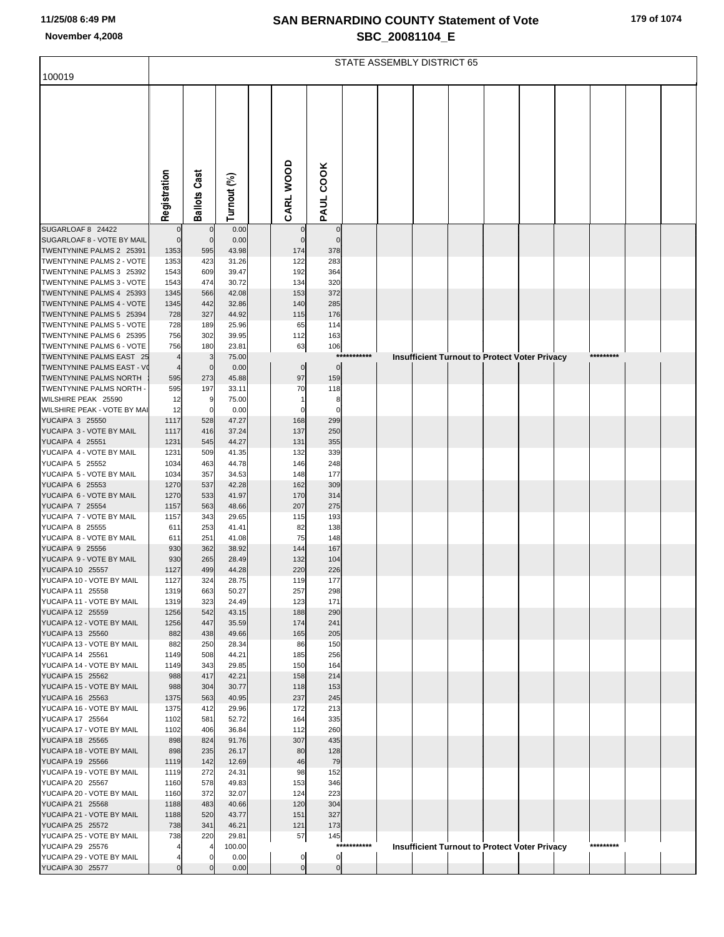|  |  |  |  | 179 of 1074 |
|--|--|--|--|-------------|
|--|--|--|--|-------------|

|                                                       | STATE ASSEMBLY DISTRICT 65 |                     |                |  |             |                  |             |  |  |  |                                                      |           |  |
|-------------------------------------------------------|----------------------------|---------------------|----------------|--|-------------|------------------|-------------|--|--|--|------------------------------------------------------|-----------|--|
| 100019                                                |                            |                     |                |  |             |                  |             |  |  |  |                                                      |           |  |
|                                                       |                            |                     |                |  |             |                  |             |  |  |  |                                                      |           |  |
|                                                       | Registration               | <b>Ballots Cast</b> | Turnout (%)    |  | CARL WOOD   | <b>PAUL COOK</b> |             |  |  |  |                                                      |           |  |
|                                                       |                            |                     |                |  |             |                  |             |  |  |  |                                                      |           |  |
| SUGARLOAF 8 24422                                     | $\mathbf 0$                | $\overline{0}$      | 0.00           |  |             | $\mathbf 0$      |             |  |  |  |                                                      |           |  |
| SUGARLOAF 8 - VOTE BY MAIL                            | $\mathbf 0$                | $\overline{0}$      | 0.00           |  | $\Omega$    | $\mathbf 0$      |             |  |  |  |                                                      |           |  |
| TWENTYNINE PALMS 2 25391                              | 1353                       | 595                 | 43.98          |  | 174         | 378              |             |  |  |  |                                                      |           |  |
| TWENTYNINE PALMS 2 - VOTE<br>TWENTYNINE PALMS 3 25392 | 1353<br>1543               | 423<br>609          | 31.26<br>39.47 |  | 122<br>192  | 283<br>364       |             |  |  |  |                                                      |           |  |
| TWENTYNINE PALMS 3 - VOTE                             | 1543                       | 474                 | 30.72          |  | 134         | 320              |             |  |  |  |                                                      |           |  |
| TWENTYNINE PALMS 4 25393                              | 1345                       | 566                 | 42.08          |  | 153         | 372              |             |  |  |  |                                                      |           |  |
| TWENTYNINE PALMS 4 - VOTE                             | 1345                       | 442                 | 32.86          |  | 140         | 285              |             |  |  |  |                                                      |           |  |
| TWENTYNINE PALMS 5 25394                              | 728                        | 327                 | 44.92          |  | 115         | 176              |             |  |  |  |                                                      |           |  |
| TWENTYNINE PALMS 5 - VOTE<br>TWENTYNINE PALMS 6 25395 | 728<br>756                 | 189<br>302          | 25.96<br>39.95 |  | 65<br>112   | 114<br>163       |             |  |  |  |                                                      |           |  |
| TWENTYNINE PALMS 6 - VOTE                             | 756                        | 180                 | 23.81          |  | 63          | 106              |             |  |  |  |                                                      |           |  |
| TWENTYNINE PALMS EAST 25                              |                            | 3                   | 75.00          |  |             |                  | *********** |  |  |  | <b>Insufficient Turnout to Protect Voter Privacy</b> | ********* |  |
| TWENTYNINE PALMS EAST - VO                            | $\overline{a}$             | $\overline{0}$      | 0.00           |  | $\mathbf 0$ | $\mathbf 0$      |             |  |  |  |                                                      |           |  |
| TWENTYNINE PALMS NORTH                                | 595                        | 273                 | 45.88          |  | 97          | 159              |             |  |  |  |                                                      |           |  |
| TWENTYNINE PALMS NORTH -<br>WILSHIRE PEAK 25590       | 595<br>12                  | 197<br>-9           | 33.11<br>75.00 |  | 70<br>1     | 118<br>8         |             |  |  |  |                                                      |           |  |
| WILSHIRE PEAK - VOTE BY MAI                           | 12                         | $\mathbf 0$         | 0.00           |  | 0           | 0                |             |  |  |  |                                                      |           |  |
| <b>YUCAIPA 3 25550</b>                                | 1117                       | 528                 | 47.27          |  | 168         | 299              |             |  |  |  |                                                      |           |  |
| YUCAIPA 3 - VOTE BY MAIL                              | 1117                       | 416                 | 37.24          |  | 137         | 250              |             |  |  |  |                                                      |           |  |
| <b>YUCAIPA 4 25551</b>                                | 1231                       | 545                 | 44.27          |  | 131         | 355              |             |  |  |  |                                                      |           |  |
| YUCAIPA 4 - VOTE BY MAIL<br><b>YUCAIPA 5 25552</b>    | 1231<br>1034               | 509<br>463          | 41.35<br>44.78 |  | 132<br>146  | 339<br>248       |             |  |  |  |                                                      |           |  |
| YUCAIPA 5 - VOTE BY MAIL                              | 1034                       | 357                 | 34.53          |  | 148         | 177              |             |  |  |  |                                                      |           |  |
| YUCAIPA 6 25553                                       | 1270                       | 537                 | 42.28          |  | 162         | 309              |             |  |  |  |                                                      |           |  |
| YUCAIPA 6 - VOTE BY MAIL                              | 1270                       | 533                 | 41.97          |  | 170         | 314              |             |  |  |  |                                                      |           |  |
| <b>YUCAIPA 7 25554</b><br>YUCAIPA 7 - VOTE BY MAIL    | 1157<br>1157               | 563<br>343          | 48.66<br>29.65 |  | 207<br>115  | 275<br>193       |             |  |  |  |                                                      |           |  |
| <b>YUCAIPA 8 25555</b>                                | 611                        | 253                 | 41.41          |  | 82          | 138              |             |  |  |  |                                                      |           |  |
| YUCAIPA 8 - VOTE BY MAIL                              | 611                        | 251                 | 41.08          |  | 75          | 148              |             |  |  |  |                                                      |           |  |
| YUCAIPA 9 25556                                       | 930                        | 362                 | 38.92          |  | 144         | 167              |             |  |  |  |                                                      |           |  |
| YUCAIPA 9 - VOTE BY MAIL                              | 930                        | 265                 | 28.49          |  | 132         | 104              |             |  |  |  |                                                      |           |  |
| YUCAIPA 10 25557<br>YUCAIPA 10 - VOTE BY MAIL         | 1127<br>1127               | 499<br>324          | 44.28<br>28.75 |  | 220<br>119  | 226<br>177       |             |  |  |  |                                                      |           |  |
| YUCAIPA 11 25558                                      | 1319                       | 663                 | 50.27          |  | 257         | 298              |             |  |  |  |                                                      |           |  |
| YUCAIPA 11 - VOTE BY MAIL                             | 1319                       | 323                 | 24.49          |  | 123         | 171              |             |  |  |  |                                                      |           |  |
| YUCAIPA 12 25559                                      | 1256                       | 542                 | 43.15          |  | 188         | 290              |             |  |  |  |                                                      |           |  |
| YUCAIPA 12 - VOTE BY MAIL<br>YUCAIPA 13 25560         | 1256<br>882                | 447<br>438          | 35.59<br>49.66 |  | 174<br>165  | 241<br>205       |             |  |  |  |                                                      |           |  |
| YUCAIPA 13 - VOTE BY MAIL                             | 882                        | 250                 | 28.34          |  | 86          | 150              |             |  |  |  |                                                      |           |  |
| YUCAIPA 14 25561                                      | 1149                       | 508                 | 44.21          |  | 185         | 256              |             |  |  |  |                                                      |           |  |
| YUCAIPA 14 - VOTE BY MAIL                             | 1149                       | 343                 | 29.85          |  | 150         | 164              |             |  |  |  |                                                      |           |  |
| YUCAIPA 15 25562                                      | 988                        | 417                 | 42.21          |  | 158         | 214              |             |  |  |  |                                                      |           |  |
| YUCAIPA 15 - VOTE BY MAIL<br>YUCAIPA 16 25563         | 988<br>1375                | 304<br>563          | 30.77<br>40.95 |  | 118<br>237  | 153<br>245       |             |  |  |  |                                                      |           |  |
| YUCAIPA 16 - VOTE BY MAIL                             | 1375                       | 412                 | 29.96          |  | 172         | 213              |             |  |  |  |                                                      |           |  |
| YUCAIPA 17 25564                                      | 1102                       | 581                 | 52.72          |  | 164         | 335              |             |  |  |  |                                                      |           |  |
| YUCAIPA 17 - VOTE BY MAIL                             | 1102                       | 406                 | 36.84          |  | 112         | 260              |             |  |  |  |                                                      |           |  |
| YUCAIPA 18 25565                                      | 898                        | 824                 | 91.76          |  | 307         | 435              |             |  |  |  |                                                      |           |  |
| YUCAIPA 18 - VOTE BY MAIL<br>YUCAIPA 19 25566         | 898<br>1119                | 235<br>142          | 26.17<br>12.69 |  | 80<br>46    | 128<br>79        |             |  |  |  |                                                      |           |  |
| YUCAIPA 19 - VOTE BY MAIL                             | 1119                       | 272                 | 24.31          |  | 98          | 152              |             |  |  |  |                                                      |           |  |
| YUCAIPA 20 25567                                      | 1160                       | 578                 | 49.83          |  | 153         | 346              |             |  |  |  |                                                      |           |  |
| YUCAIPA 20 - VOTE BY MAIL                             | 1160                       | 372                 | 32.07          |  | 124         | 223              |             |  |  |  |                                                      |           |  |
| YUCAIPA 21 25568<br>YUCAIPA 21 - VOTE BY MAIL         | 1188<br>1188               | 483<br>520          | 40.66<br>43.77 |  | 120<br>151  | 304<br>327       |             |  |  |  |                                                      |           |  |
| <b>YUCAIPA 25 25572</b>                               | 738                        | 341                 | 46.21          |  | 121         | 173              |             |  |  |  |                                                      |           |  |
| YUCAIPA 25 - VOTE BY MAIL                             | 738                        | 220                 | 29.81          |  | 57          | 145              |             |  |  |  |                                                      |           |  |
| YUCAIPA 29 25576                                      |                            |                     | 100.00         |  |             |                  | *********** |  |  |  | <b>Insufficient Turnout to Protect Voter Privacy</b> | ********* |  |
| YUCAIPA 29 - VOTE BY MAIL                             |                            | $\Omega$            | 0.00           |  | 0           | 0                |             |  |  |  |                                                      |           |  |
| YUCAIPA 30 25577                                      | $\mathbf 0$                | $\mathbf{0}$        | 0.00           |  | $\mathbf 0$ | $\overline{0}$   |             |  |  |  |                                                      |           |  |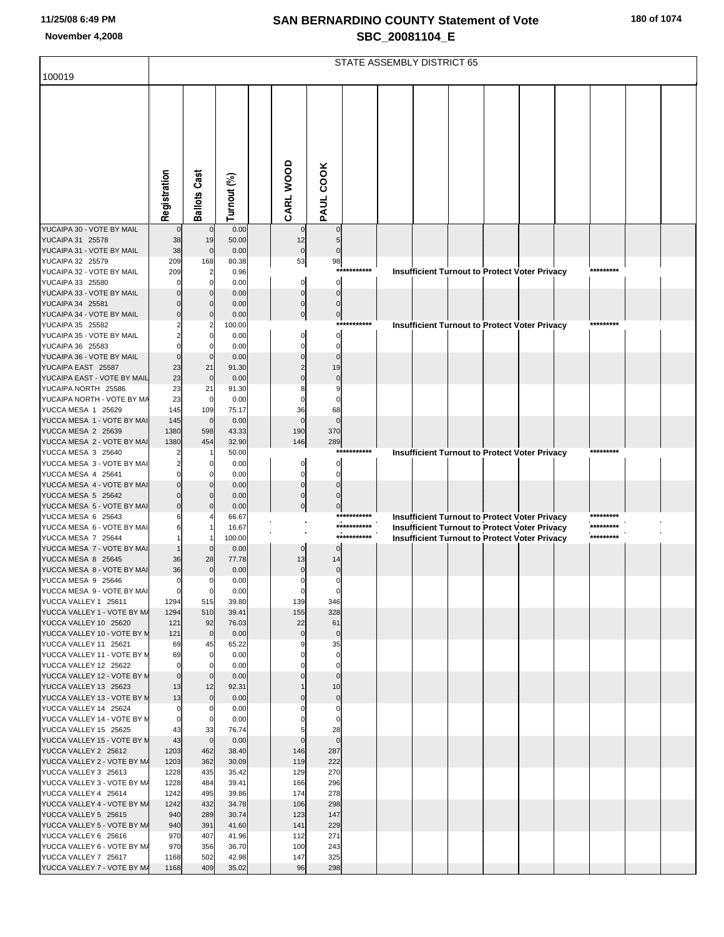|  |  |  | 180 of 1074 |
|--|--|--|-------------|
|--|--|--|-------------|

|                                                      | STATE ASSEMBLY DISTRICT 65 |                     |                |                      |                            |             |  |  |  |  |                                                      |  |           |  |  |
|------------------------------------------------------|----------------------------|---------------------|----------------|----------------------|----------------------------|-------------|--|--|--|--|------------------------------------------------------|--|-----------|--|--|
| 100019                                               |                            |                     |                |                      |                            |             |  |  |  |  |                                                      |  |           |  |  |
|                                                      |                            |                     |                |                      |                            |             |  |  |  |  |                                                      |  |           |  |  |
|                                                      |                            |                     |                |                      |                            |             |  |  |  |  |                                                      |  |           |  |  |
|                                                      |                            |                     |                |                      |                            |             |  |  |  |  |                                                      |  |           |  |  |
|                                                      |                            |                     |                |                      |                            |             |  |  |  |  |                                                      |  |           |  |  |
|                                                      |                            |                     |                |                      |                            |             |  |  |  |  |                                                      |  |           |  |  |
|                                                      |                            |                     |                |                      |                            |             |  |  |  |  |                                                      |  |           |  |  |
|                                                      |                            |                     |                |                      |                            |             |  |  |  |  |                                                      |  |           |  |  |
|                                                      |                            |                     |                |                      |                            |             |  |  |  |  |                                                      |  |           |  |  |
|                                                      |                            |                     |                |                      |                            |             |  |  |  |  |                                                      |  |           |  |  |
|                                                      | Registration               | <b>Ballots Cast</b> | Turnout (%)    | CARL WOOD            | PAUL COOK                  |             |  |  |  |  |                                                      |  |           |  |  |
| YUCAIPA 30 - VOTE BY MAIL                            |                            |                     | 0.00           |                      | $\mathbf 0$                |             |  |  |  |  |                                                      |  |           |  |  |
| YUCAIPA 31 25578                                     | 38                         | 19                  | 50.00          | 12                   | 5                          |             |  |  |  |  |                                                      |  |           |  |  |
| YUCAIPA 31 - VOTE BY MAIL                            | 38<br>209                  | $\mathbf 0$         | 0.00           | $\mathbf 0$<br>53    | $\mathbf 0$                |             |  |  |  |  |                                                      |  |           |  |  |
| YUCAIPA 32 25579<br>YUCAIPA 32 - VOTE BY MAIL        | 209                        | 168<br>2            | 80.38<br>0.96  |                      | 98<br>$***$                | *******     |  |  |  |  | Insufficient Turnout to Protect Voter Privacy        |  | ********* |  |  |
| YUCAIPA 33 25580                                     |                            |                     | 0.00           | $\mathbf 0$          | $\mathbf{0}$               |             |  |  |  |  |                                                      |  |           |  |  |
| YUCAIPA 33 - VOTE BY MAIL                            |                            |                     | 0.00           | $\Omega$             | $\Omega$                   |             |  |  |  |  |                                                      |  |           |  |  |
| YUCAIPA 34 25581                                     |                            |                     | 0.00           | $\Omega$<br>$\Omega$ | $\Omega$                   |             |  |  |  |  |                                                      |  |           |  |  |
| YUCAIPA 34 - VOTE BY MAIL<br>YUCAIPA 35 25582        |                            |                     | 0.00<br>100.00 |                      | $\pmb{0}$                  | *********** |  |  |  |  | <b>Insufficient Turnout to Protect Voter Privacy</b> |  | ********* |  |  |
| YUCAIPA 35 - VOTE BY MAIL                            |                            |                     | 0.00           |                      | $\Omega$                   |             |  |  |  |  |                                                      |  |           |  |  |
| YUCAIPA 36 25583                                     |                            |                     | 0.00           |                      | $\mathbf 0$                |             |  |  |  |  |                                                      |  |           |  |  |
| YUCAIPA 36 - VOTE BY MAIL<br>YUCAIPA EAST 25587      | 23                         | 21                  | 0.00<br>91.30  |                      | $\Omega$<br>19             |             |  |  |  |  |                                                      |  |           |  |  |
| YUCAIPA EAST - VOTE BY MAIL                          | 23                         | $\mathbf 0$         | 0.00           |                      | $\mathbf 0$                |             |  |  |  |  |                                                      |  |           |  |  |
| YUCAIPA NORTH 25586                                  | 23                         | 21                  | 91.30          |                      | 9                          |             |  |  |  |  |                                                      |  |           |  |  |
| YUCAIPA NORTH - VOTE BY MA                           | 23                         | $\mathbf 0$         | 0.00           |                      | $\Omega$                   |             |  |  |  |  |                                                      |  |           |  |  |
| YUCCA MESA 1 25629<br>YUCCA MESA 1 - VOTE BY MAI     | 145<br>145                 | 109<br>$\mathbf 0$  | 75.17<br>0.00  | 36<br>$\mathbf 0$    | 68<br>$\mathbf 0$          |             |  |  |  |  |                                                      |  |           |  |  |
| YUCCA MESA 2 25639                                   | 1380                       | 598                 | 43.33          | 190                  | 370                        |             |  |  |  |  |                                                      |  |           |  |  |
| YUCCA MESA 2 - VOTE BY MAI                           | 1380                       | 454                 | 32.90          | 146                  | 289                        |             |  |  |  |  |                                                      |  |           |  |  |
| YUCCA MESA 3 25640                                   |                            |                     | 50.00          |                      |                            | *********** |  |  |  |  | Insufficient Turnout to Protect Voter Privacy        |  | ********* |  |  |
| YUCCA MESA 3 - VOTE BY MAI<br>YUCCA MESA 4 25641     |                            | 0                   | 0.00<br>0.00   | $\Omega$<br>$\Omega$ | $\Omega$<br>$\mathbf 0$    |             |  |  |  |  |                                                      |  |           |  |  |
| YUCCA MESA 4 - VOTE BY MAI                           |                            |                     | 0.00           |                      | $\Omega$                   |             |  |  |  |  |                                                      |  |           |  |  |
| YUCCA MESA 5 25642                                   |                            |                     | 0.00           | $\Omega$             | $\Omega$                   |             |  |  |  |  |                                                      |  |           |  |  |
| YUCCA MESA 5 - VOTE BY MAI<br>YUCCA MESA 6 25643     |                            |                     | 0.00<br>66.67  |                      | $\pmb{0}$                  | *********** |  |  |  |  | Insufficient Turnout to Protect Voter Privacy        |  | ********* |  |  |
| YUCCA MESA 6 - VOTE BY MAI                           |                            |                     | 16.67          |                      |                            | *********** |  |  |  |  | Insufficient Turnout to Protect Voter Privacy        |  | ********* |  |  |
| YUCCA MESA 7 25644                                   |                            |                     | 100.00         |                      |                            | *********** |  |  |  |  | <b>Insufficient Turnout to Protect Voter Privacy</b> |  | ********* |  |  |
| YUCCA MESA 7 - VOTE BY MAI                           |                            |                     | 0.00           | $\mathbf 0$          | 0                          |             |  |  |  |  |                                                      |  |           |  |  |
| YUCCA MESA 8 25645<br>YUCCA MESA 8 - VOTE BY MAI     | 36<br>36                   | 28<br>$\mathbf 0$   | 77.78<br>0.00  | 13<br>$\mathbf 0$    | 14<br>$\pmb{0}$            |             |  |  |  |  |                                                      |  |           |  |  |
| YUCCA MESA 9 25646                                   | $\Omega$                   | $\mathbf 0$         | 0.00           | $\overline{0}$       | $\mathbf 0$                |             |  |  |  |  |                                                      |  |           |  |  |
| YUCCA MESA 9 - VOTE BY MAI                           | $\mathbf 0$                | $\mathbf 0$         | 0.00           | $\overline{0}$       | $\mathbf 0$                |             |  |  |  |  |                                                      |  |           |  |  |
| YUCCA VALLEY 1 25611                                 | 1294                       | 515                 | 39.80          | 139                  | 346                        |             |  |  |  |  |                                                      |  |           |  |  |
| YUCCA VALLEY 1 - VOTE BY M/<br>YUCCA VALLEY 10 25620 | 1294<br>121                | 510<br>92           | 39.41<br>76.03 | 155<br>22            | 328<br>61                  |             |  |  |  |  |                                                      |  |           |  |  |
| YUCCA VALLEY 10 - VOTE BY M                          | 121                        | $\mathbf 0$         | 0.00           | $\mathbf 0$          | $\pmb{0}$                  |             |  |  |  |  |                                                      |  |           |  |  |
| YUCCA VALLEY 11 25621                                | 69                         | 45                  | 65.22          | 9                    | 35                         |             |  |  |  |  |                                                      |  |           |  |  |
| YUCCA VALLEY 11 - VOTE BY M<br>YUCCA VALLEY 12 25622 | 69<br>$\mathbf 0$          | $\mathbf 0$<br>0    | 0.00<br>0.00   |                      | $\mathbf 0$<br>$\mathbf 0$ |             |  |  |  |  |                                                      |  |           |  |  |
| YUCCA VALLEY 12 - VOTE BY M                          | $\mathbf 0$                | $\mathbf 0$         | 0.00           |                      | $\mathbf 0$                |             |  |  |  |  |                                                      |  |           |  |  |
| YUCCA VALLEY 13 25623                                | 13                         | 12                  | 92.31          |                      | 10                         |             |  |  |  |  |                                                      |  |           |  |  |
| YUCCA VALLEY 13 - VOTE BY M                          | 13                         | $\mathbf 0$         | 0.00           |                      | $\pmb{0}$                  |             |  |  |  |  |                                                      |  |           |  |  |
| YUCCA VALLEY 14 25624<br>YUCCA VALLEY 14 - VOTE BY M | $\mathbf 0$<br>0           | 0<br>0              | 0.00<br>0.00   |                      | $\mathbf 0$<br>0           |             |  |  |  |  |                                                      |  |           |  |  |
| YUCCA VALLEY 15 25625                                | 43                         | 33                  | 76.74          |                      | 28                         |             |  |  |  |  |                                                      |  |           |  |  |
| YUCCA VALLEY 15 - VOTE BY N                          | 43                         | $\mathbf 0$         | 0.00           | $\Omega$             | $\mathbf 0$                |             |  |  |  |  |                                                      |  |           |  |  |
| YUCCA VALLEY 2 25612<br>YUCCA VALLEY 2 - VOTE BY M/  | 1203<br>1203               | 462<br>362          | 38.40<br>30.09 | 146<br>119           | 287<br>222                 |             |  |  |  |  |                                                      |  |           |  |  |
| YUCCA VALLEY 3 25613                                 | 1228                       | 435                 | 35.42          | 129                  | 270                        |             |  |  |  |  |                                                      |  |           |  |  |
| YUCCA VALLEY 3 - VOTE BY M/                          | 1228                       | 484                 | 39.41          | 166                  | 296                        |             |  |  |  |  |                                                      |  |           |  |  |
| YUCCA VALLEY 4 25614                                 | 1242                       | 495                 | 39.86          | 174                  | 278                        |             |  |  |  |  |                                                      |  |           |  |  |
| YUCCA VALLEY 4 - VOTE BY M/<br>YUCCA VALLEY 5 25615  | 1242<br>940                | 432<br>289          | 34.78<br>30.74 | 106<br>123           | 298<br>147                 |             |  |  |  |  |                                                      |  |           |  |  |
| YUCCA VALLEY 5 - VOTE BY M/                          | 940                        | 391                 | 41.60          | 141                  | 229                        |             |  |  |  |  |                                                      |  |           |  |  |
| YUCCA VALLEY 6 25616                                 | 970                        | 407                 | 41.96          | 112                  | 271                        |             |  |  |  |  |                                                      |  |           |  |  |
| YUCCA VALLEY 6 - VOTE BY M/                          | 970                        | 356                 | 36.70          | 100                  | 243                        |             |  |  |  |  |                                                      |  |           |  |  |
| YUCCA VALLEY 7 25617<br>YUCCA VALLEY 7 - VOTE BY M/  | 1168<br>1168               | 502<br>409          | 42.98<br>35.02 | 147<br>96            | 325<br>298                 |             |  |  |  |  |                                                      |  |           |  |  |
|                                                      |                            |                     |                |                      |                            |             |  |  |  |  |                                                      |  |           |  |  |